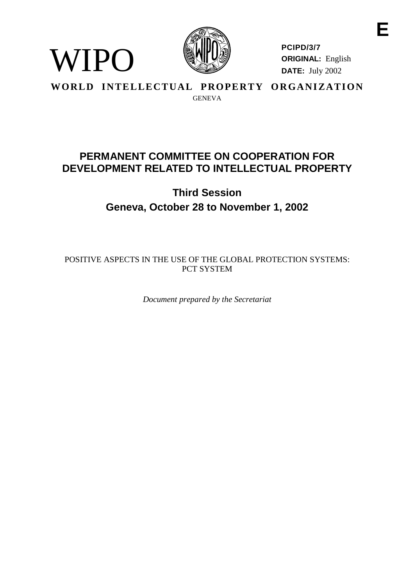

WIPO

**PCIPD/3/7 ORIGINAL:** English **DATE:** July 2002

**WORLD INTELLECTUAL PROPERTY ORGANIZATION GENEVA** 

# **PERMANENTCOMMITTEE ONCOOPERATIONFOR DEVELOPMENTRELATED TOINTELLECTUALPROP ERTY**

# **Third Session Geneva, October 28 to November 1, 2002**

POSITIVE ASPECTSINTHEUSEO FTHEGLOBALPROTECT IONSYSTEMS: PCT SYSTEM

*Document prepared by the Secretariat*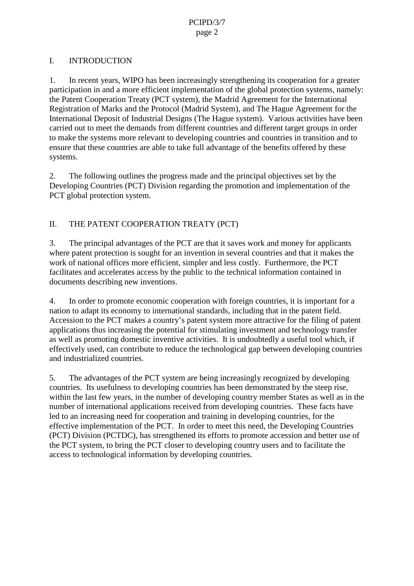### I. INTRODUCTION

1. In recent years, WIPO has been increasingly strengthening its cooperation for a greater participation in and a more efficien timplementation of the global protections ystems, namely: the Patent Cooperation Treaty (PCT system), the Madrid Agreement for the International Registration of Marks and the Protocol (Madrid System), and The Hague Agreement for the International Deposit of Industrial Designs (The Hague system). Various activities have been carried out to meet the demands from different countries and different target groups in order to make the systems more relevant to developing countries and countries in transition and to ensure that these countries are able to take full advantage of the benefits offered by these systems.

2. The following outlines the progress made and the principal objectives set by the Developing Countries (PCT) Division regarding the promo tion and implementation of the PCT global protections ystem.

## II. THEPATENT COOPERATION TREATY (PCT)

3. The principal advantages of the PCT are that its aves work and money for applicants where patent protection is sought for an invention in several countries and that it makes the work of national offices more efficient, simpler and less costly. Furthermore, the PCT facilitates and accelerates access by the public to the technical information contained in documents describing new inventions.

4. In order to promote economic cooperation with foreign countries, it is important for a nation to adaptit seconomy to international standards, including that in the patent field. Accession to the PCT makes a country's patent system more attra ctive for the filing of patent applications thus increasing the potential for stimulating investment and technology transfer as well as promoting domestic inventive activities. It is undoubtedly a useful tool which, if effectively used, can contribute to reduce the technological gap between developing countries and industrialized countries.

5. The advantages of the PCT system are being increasingly recognized by developing countries. Its usefulness to developing countries has been demonstrated by the steep rise, within the last few years, in the number of developing country member States as well as in the number of international applications received from developing countries. These facts have led to an increasing need for cooperation and training indeveloping countries, for the effective implementation of the PCT. In order to meet this need, the Developing Countries (PCT) Division (PCTDC), has strengthened its efforts to promote accession and better use of the PCT system, to bring the PC T closer to developing country users and to facilitate the access to technological information by developing countries.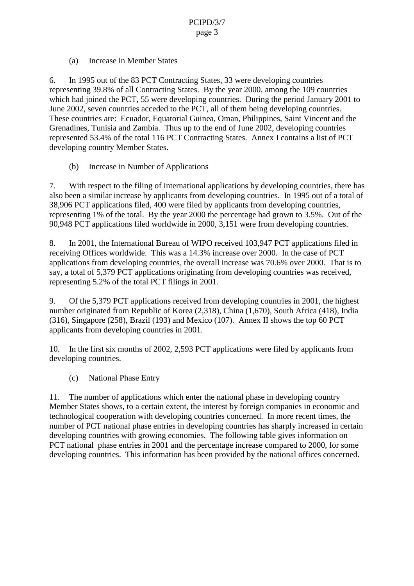(a) Increase in Member States

6. In 1995 out of the 83 PCT Contracting States, 33 were developing countries representing 39.8% of all Contracting States. By the year 2000, among the 109 countries which had joined the PCT, 55 were developing countries. During the period January 2001 to June 2002, seven countries acceded to the PCT, all of them being developing countries. These countries are: Ecuador, Equatorial Guinea, Oman, Philippines, Saint Vincent and the Grenadines, Tunisia and Zambia. Thus up to the end of June 2002, developing countries represented 53.4% of the total 116 PCT Contracting States. Annex I contains a list of PCT developing country Member States.

(b) Increase in Number of Applications

7. With respect to the filing of international applications by developing countries, there has also been a similar increase by applicants from developing countries. In 1995 out of a total of 38,906 PCT applications filed, 400 were filed by applicants from developing countries, representing 1% of the total. By the year 2000 the percentage had grown to 3.5%. Out of the 90,948 PCT applications filed worldwi dein 2000, 3,151 were from developing countries.

8. In 2001, the International Bureau of WIPO received 103,947 PCT applications filed in receiving Offices worldwide. This was a 14.3% increase over 2000. In the case of PCT applications from de veloping countries, the overall increase was 70.6% over 2000. That is to say, a total of 5,379 PCT applications originating from developing countries was received, representing 5.2% of the total PCT filings in 2001.

9. Of the 5,379 PCT applicat ions received from developing countries in 2001, the highest number originated from Republic of Korea (2,318), China (1,670), South Africa (418), India  $(316)$ , Singapore  $(258)$ , Brazil  $(193)$  and Mexico  $(107)$ . Annex II shows the top 60 PCT applicants from de veloping countries in 2001.

10. In the first six months of 2002, 2, 593 PCT applications were filed by applicants from developing countries.

(c) National Phase Entry

11. The number of applications which enter the national phase inde veloping country Member States shows, to a certain extent, the interest by foreign companies in economic and technological cooperation with developing countries concerned. In more recent times, the number of PCT national phase entries indeveloping countr ies has sharply increased incertain developing countries with growing economies. The following table gives information on PCT national phase entries in 2001 and the percentage increase compared to 2000, for some developing countries. This information has been provided by the national offices concerned.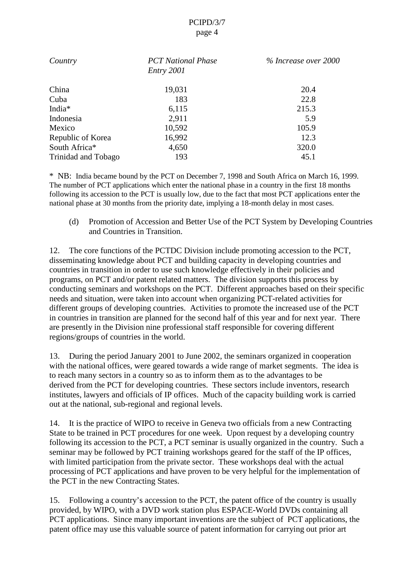### PCIPD/3/7 page 4

| Country            | <b>PCTNationalPhase</b><br>Entry2001 | %Increaseover2000 |
|--------------------|--------------------------------------|-------------------|
| China              | 19,031                               | 20.4              |
| Cuba               | 183                                  | 22.8              |
| India <sup>*</sup> | 6,115                                | 215.3             |
| Indonesia          | 2,911                                | 5.9               |
| Mexico             | 10,592                               | 105.9             |
| RepublicofKorea    | 16,992                               | 12.3              |
| SouthAfrica*       | 4,650                                | 320.0             |
| TrinidadandTobago  | 193                                  | 45.1              |

\* NB: India became bound by the PCT on December 7, 1998 and South Africa on March 16, 1999. The number of PCT applications which enter the national phase in a country in the first 18 months following its accession to t he PCT is usually low, due to the fact that most PCT applications enter the national phase at 30 months from the priority date, implying a 18 -month delay in most cases.

(d) Promotion of Accession and Better Use of the PCTS ystem by Developing Countries and Countries in Transition.

12. The core functions of the PCTDC Division include promoting accession to the PCT, disseminating knowledge about PCT and building capacity indeveloping countries and countries intransition in order to use such knowledge effectively in their policies and programs, on PCT and/or patent related matters. The division supports this process by conducting seminars and workshops on the PCT. Different approaches based on their specific needs and situation, we retaken i nto account when organizing PCT -related activities for different groups of developing countries. Activities to promote the increased use of the PCT in countries in transition are planned for the second half of this year and for next year. There are prese ntly in the Division nine professional staff responsible for covering different regions/groups of countries in the world.

13. During the period January 2001 to June 2002, the seminars organized in cooperation with the national offices, we regeare dtowards a wide range of market segments. The idea is to reach many sectors in a country so as to inform the mast other advantages to be derived from the PCT for developing countries. These sectors include inventors, research institutes, lawyers and off icials of IP of fices. Much of the capacity building work is carried out at the national, sub -regional and regional levels.

14. It is the practice of WIPO to receive in Geneva two officials from a new Contracting State to be trained in PCT proced ures for one week. Upon request by a developing country following its accession to the PCT, a PCT seminaris usually organized in the country. Such a seminar may be followed by PCT training workshops geared for the staff of the IP offices, with limited p articipation from the private sector. The sex workshops deal with the actual processing of PCT applications and have proven to be very helpful for the implementation of the PCT in the new Contracting States.

15. Following a country's accession to the PCT, the patent of fice of the country is usually provided, by WIPO, with a DVD work station plus ESPACE - World DVD scontaining all PCT applications. Since many important inventions are the subject of PCT applications, the patent office may use this va luable source of patent information for carrying out prior art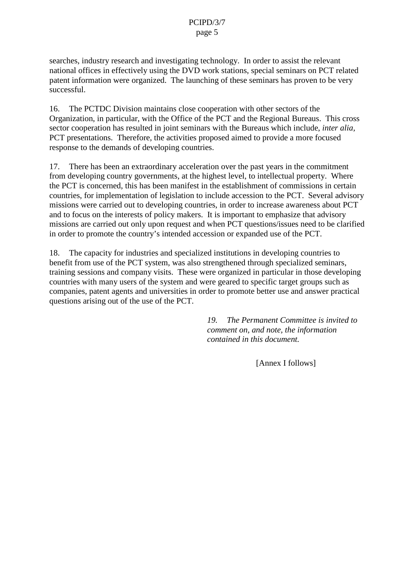#### PCIPD/3/7 page 5

searches, industry research and investigating technology. In order to assist the relevant national offices in effectively using the DVD workstations, special seminars on PCT related patent in formation were organized. The launching of these seminars has proven to be very successful.

16. The PCTDC Division maintains close cooperation with other sectors of the Organization, inparticular, with the Office of the PCT and the Regional Bur eaus. This cross sector cooperation has resulted injoint seminars with the Bureaus which include, *interalia*, PCT presentations. Therefore, the activities proposed aimed to provide a more focused response to the demands of developing countries.

17. There has been an extraordinary acceleration over the past years in the commitment from developing country governments, at the highest level, to intellectual property. Where the PCT is concerned, this has been manifest in the establishment of commi ssions in certain countries, for implementation of legislation to include accession to the PCT. Several advisory missions were carried out to developing countries, in order to increase awareness about PCT and to focus on the interests of policy makers. I tisimportant to emphasize that advisory missions are carried out only upon request and when PCT questions/issues need to be clarified in order to promote the country's intended accession or expanded use of the PCT.

18. The capacity for industri esands pecialized institutions indeveloping countries to benefit from use of the PCT system, was also strengthened through specialized seminars, training sessions and company visits. These were organized in particular in those developing countries with many users of the system and we regeared to specific target groups such as companies, patent agents and universities in order to promote better use and answerp ractical questions arising out of the use of the PCT.

> 19. The Permanent Committee is *i nvited to comment on, and note, the information contained in this document.*

> > [Annex Ifollows]